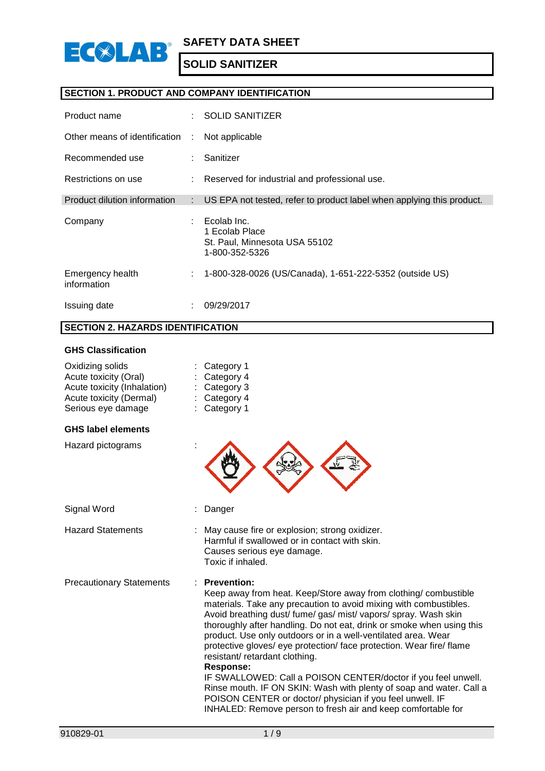

## **SECTION 1. PRODUCT AND COMPANY IDENTIFICATION**

| Product name                    | $\mathcal{F}_{\mathcal{A}}$ | <b>SOLID SANITIZER</b>                                                           |
|---------------------------------|-----------------------------|----------------------------------------------------------------------------------|
| Other means of identification   | ÷                           | Not applicable                                                                   |
| Recommended use                 |                             | Sanitizer                                                                        |
| Restrictions on use             |                             | Reserved for industrial and professional use.                                    |
| Product dilution information    | ÷                           | US EPA not tested, refer to product label when applying this product.            |
| Company                         |                             | Ecolab Inc.<br>1 Ecolab Place<br>St. Paul, Minnesota USA 55102<br>1-800-352-5326 |
| Emergency health<br>information | ÷                           | 1-800-328-0026 (US/Canada), 1-651-222-5352 (outside US)                          |
| Issuing date                    |                             | 09/29/2017                                                                       |

## **SECTION 2. HAZARDS IDENTIFICATION**

#### **GHS Classification**

| Oxidizing solids<br>Acute toxicity (Oral)<br>Acute toxicity (Inhalation)<br>Acute toxicity (Dermal)<br>Serious eye damage | Category 1<br>Category 4<br>Category 3<br>$:$ Category 4<br>Category 1                                                                                                                                                                                                                                                                                                                                                                                                                                                                                                                                                                                                                                                                                       |
|---------------------------------------------------------------------------------------------------------------------------|--------------------------------------------------------------------------------------------------------------------------------------------------------------------------------------------------------------------------------------------------------------------------------------------------------------------------------------------------------------------------------------------------------------------------------------------------------------------------------------------------------------------------------------------------------------------------------------------------------------------------------------------------------------------------------------------------------------------------------------------------------------|
| <b>GHS label elements</b>                                                                                                 |                                                                                                                                                                                                                                                                                                                                                                                                                                                                                                                                                                                                                                                                                                                                                              |
| Hazard pictograms                                                                                                         |                                                                                                                                                                                                                                                                                                                                                                                                                                                                                                                                                                                                                                                                                                                                                              |
| Signal Word                                                                                                               | Danger                                                                                                                                                                                                                                                                                                                                                                                                                                                                                                                                                                                                                                                                                                                                                       |
| <b>Hazard Statements</b>                                                                                                  | May cause fire or explosion; strong oxidizer.<br>Harmful if swallowed or in contact with skin.<br>Causes serious eye damage.<br>Toxic if inhaled.                                                                                                                                                                                                                                                                                                                                                                                                                                                                                                                                                                                                            |
| <b>Precautionary Statements</b>                                                                                           | : Prevention:<br>Keep away from heat. Keep/Store away from clothing/combustible<br>materials. Take any precaution to avoid mixing with combustibles.<br>Avoid breathing dust/ fume/ gas/ mist/ vapors/ spray. Wash skin<br>thoroughly after handling. Do not eat, drink or smoke when using this<br>product. Use only outdoors or in a well-ventilated area. Wear<br>protective gloves/ eye protection/ face protection. Wear fire/ flame<br>resistant/retardant clothing.<br>Response:<br>IF SWALLOWED: Call a POISON CENTER/doctor if you feel unwell.<br>Rinse mouth. IF ON SKIN: Wash with plenty of soap and water. Call a<br>POISON CENTER or doctor/ physician if you feel unwell. IF<br>INHALED: Remove person to fresh air and keep comfortable for |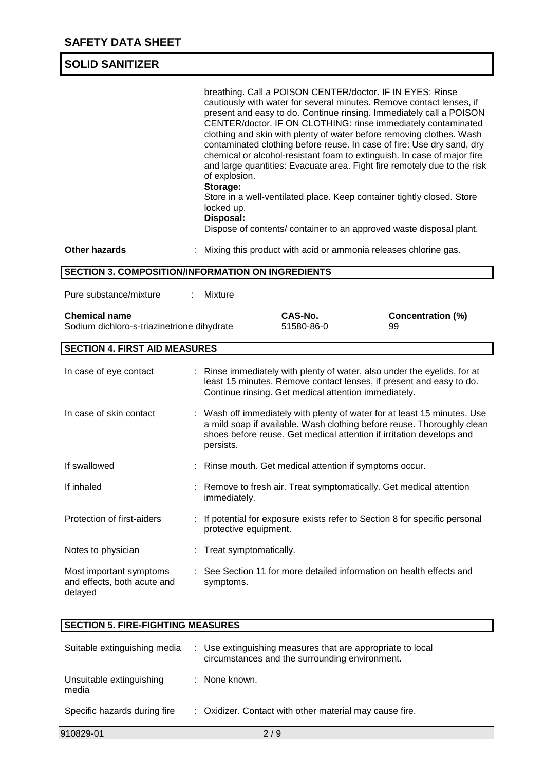|                                                                    | breathing. Call a POISON CENTER/doctor. IF IN EYES: Rinse<br>cautiously with water for several minutes. Remove contact lenses, if<br>present and easy to do. Continue rinsing. Immediately call a POISON<br>CENTER/doctor. IF ON CLOTHING: rinse immediately contaminated<br>clothing and skin with plenty of water before removing clothes. Wash<br>contaminated clothing before reuse. In case of fire: Use dry sand, dry<br>chemical or alcohol-resistant foam to extinguish. In case of major fire<br>and large quantities: Evacuate area. Fight fire remotely due to the risk<br>of explosion.<br>Storage:<br>Store in a well-ventilated place. Keep container tightly closed. Store<br>locked up.<br>Disposal:<br>Dispose of contents/ container to an approved waste disposal plant. |
|--------------------------------------------------------------------|---------------------------------------------------------------------------------------------------------------------------------------------------------------------------------------------------------------------------------------------------------------------------------------------------------------------------------------------------------------------------------------------------------------------------------------------------------------------------------------------------------------------------------------------------------------------------------------------------------------------------------------------------------------------------------------------------------------------------------------------------------------------------------------------|
| <b>Other hazards</b>                                               | Mixing this product with acid or ammonia releases chlorine gas.                                                                                                                                                                                                                                                                                                                                                                                                                                                                                                                                                                                                                                                                                                                             |
|                                                                    | SECTION 3. COMPOSITION/INFORMATION ON INGREDIENTS                                                                                                                                                                                                                                                                                                                                                                                                                                                                                                                                                                                                                                                                                                                                           |
| Pure substance/mixture                                             | Mixture                                                                                                                                                                                                                                                                                                                                                                                                                                                                                                                                                                                                                                                                                                                                                                                     |
| <b>Chemical name</b><br>Sodium dichloro-s-triazinetrione dihydrate | CAS-No.<br><b>Concentration (%)</b><br>51580-86-0<br>99                                                                                                                                                                                                                                                                                                                                                                                                                                                                                                                                                                                                                                                                                                                                     |
| <b>SECTION 4. FIRST AID MEASURES</b>                               |                                                                                                                                                                                                                                                                                                                                                                                                                                                                                                                                                                                                                                                                                                                                                                                             |
| In case of eye contact                                             | : Rinse immediately with plenty of water, also under the eyelids, for at<br>least 15 minutes. Remove contact lenses, if present and easy to do.<br>Continue rinsing. Get medical attention immediately.                                                                                                                                                                                                                                                                                                                                                                                                                                                                                                                                                                                     |
| In case of skin contact                                            | : Wash off immediately with plenty of water for at least 15 minutes. Use<br>a mild soap if available. Wash clothing before reuse. Thoroughly clean<br>shoes before reuse. Get medical attention if irritation develops and<br>persists.                                                                                                                                                                                                                                                                                                                                                                                                                                                                                                                                                     |
| If swallowed                                                       | : Rinse mouth. Get medical attention if symptoms occur.                                                                                                                                                                                                                                                                                                                                                                                                                                                                                                                                                                                                                                                                                                                                     |
| If inhaled                                                         | : Remove to fresh air. Treat symptomatically. Get medical attention<br>immediately.                                                                                                                                                                                                                                                                                                                                                                                                                                                                                                                                                                                                                                                                                                         |
| Protection of first-aiders                                         | If potential for exposure exists refer to Section 8 for specific personal<br>protective equipment.                                                                                                                                                                                                                                                                                                                                                                                                                                                                                                                                                                                                                                                                                          |
| Notes to physician                                                 | : Treat symptomatically.                                                                                                                                                                                                                                                                                                                                                                                                                                                                                                                                                                                                                                                                                                                                                                    |
| Most important symptoms<br>and effects, both acute and<br>delayed  | See Section 11 for more detailed information on health effects and<br>symptoms.                                                                                                                                                                                                                                                                                                                                                                                                                                                                                                                                                                                                                                                                                                             |

# **SECTION 5. FIRE-FIGHTING MEASURES**

| Suitable extinguishing media      | : Use extinguishing measures that are appropriate to local<br>circumstances and the surrounding environment. |
|-----------------------------------|--------------------------------------------------------------------------------------------------------------|
| Unsuitable extinguishing<br>media | : None known.                                                                                                |
| Specific hazards during fire      | : Oxidizer. Contact with other material may cause fire.                                                      |
| 910829-01                         | 2/9                                                                                                          |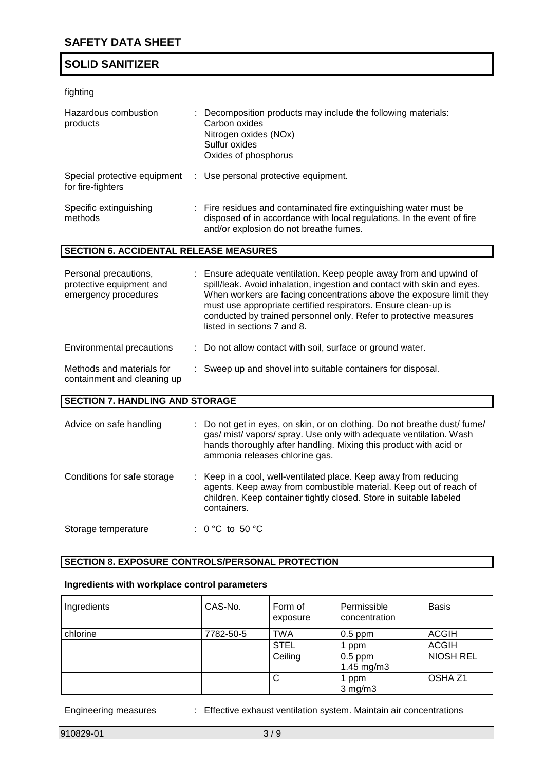## fighting

| Hazardous combustion<br>products                  | : Decomposition products may include the following materials:<br>Carbon oxides<br>Nitrogen oxides (NOx)<br>Sulfur oxides<br>Oxides of phosphorus                                      |  |  |
|---------------------------------------------------|---------------------------------------------------------------------------------------------------------------------------------------------------------------------------------------|--|--|
| Special protective equipment<br>for fire-fighters | : Use personal protective equipment.                                                                                                                                                  |  |  |
| Specific extinguishing<br>methods                 | : Fire residues and contaminated fire extinguishing water must be<br>disposed of in accordance with local regulations. In the event of fire<br>and/or explosion do not breathe fumes. |  |  |
| <b>SECTION 6. ACCIDENTAL RELEASE MEASURES</b>     |                                                                                                                                                                                       |  |  |

| Personal precautions,<br>protective equipment and<br>emergency procedures | : Ensure adequate ventilation. Keep people away from and upwind of<br>spill/leak. Avoid inhalation, ingestion and contact with skin and eyes.<br>When workers are facing concentrations above the exposure limit they<br>must use appropriate certified respirators. Ensure clean-up is<br>conducted by trained personnel only. Refer to protective measures<br>listed in sections 7 and 8. |
|---------------------------------------------------------------------------|---------------------------------------------------------------------------------------------------------------------------------------------------------------------------------------------------------------------------------------------------------------------------------------------------------------------------------------------------------------------------------------------|
| Environmental precautions                                                 | : Do not allow contact with soil, surface or ground water.                                                                                                                                                                                                                                                                                                                                  |

| Methods and materials for   | Sweep up and shovel into suitable containers for disposal. |
|-----------------------------|------------------------------------------------------------|
| containment and cleaning up |                                                            |

## **SECTION 7. HANDLING AND STORAGE**

| Advice on safe handling     | : Do not get in eyes, on skin, or on clothing. Do not breathe dust/fume/<br>gas/ mist/ vapors/ spray. Use only with adequate ventilation. Wash<br>hands thoroughly after handling. Mixing this product with acid or<br>ammonia releases chlorine gas. |
|-----------------------------|-------------------------------------------------------------------------------------------------------------------------------------------------------------------------------------------------------------------------------------------------------|
| Conditions for safe storage | : Keep in a cool, well-ventilated place. Keep away from reducing<br>agents. Keep away from combustible material. Keep out of reach of<br>children. Keep container tightly closed. Store in suitable labeled<br>containers.                            |
| Storage temperature         | : 0 °C to 50 °C                                                                                                                                                                                                                                       |

## **SECTION 8. EXPOSURE CONTROLS/PERSONAL PROTECTION**

## **Ingredients with workplace control parameters**

| Ingredients | CAS-No.   | Form of<br>exposure | Permissible<br>concentration | <b>Basis</b>       |
|-------------|-----------|---------------------|------------------------------|--------------------|
| chlorine    | 7782-50-5 | <b>TWA</b>          | $0.5$ ppm                    | <b>ACGIH</b>       |
|             |           | <b>STEL</b>         | ppm                          | <b>ACGIH</b>       |
|             |           | Ceiling             | $0.5$ ppm<br>1.45 mg/m $3$   | <b>NIOSH REL</b>   |
|             |           | С                   | 1 ppm<br>$3$ mg/m $3$        | OSHA <sub>Z1</sub> |

Engineering measures : Effective exhaust ventilation system. Maintain air concentrations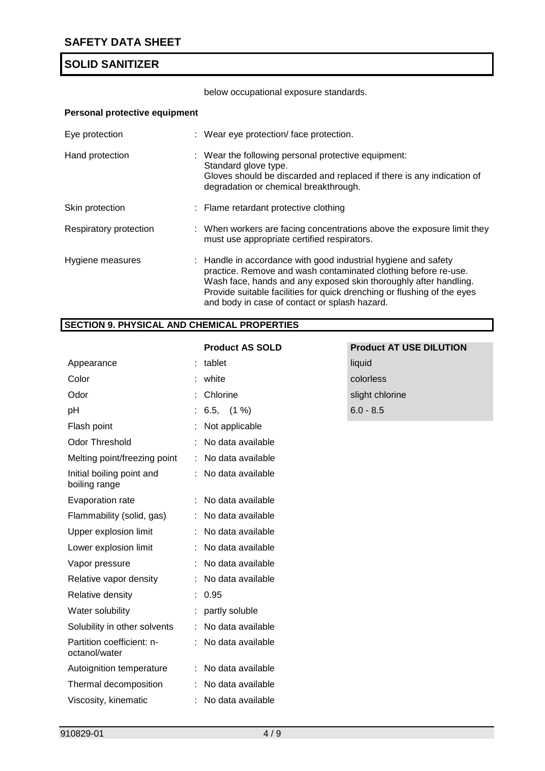below occupational exposure standards.

## **Personal protective equipment**

| Eye protection         | : Wear eye protection/face protection.                                                                                                                                                                                                                                                                                           |
|------------------------|----------------------------------------------------------------------------------------------------------------------------------------------------------------------------------------------------------------------------------------------------------------------------------------------------------------------------------|
| Hand protection        | : Wear the following personal protective equipment:<br>Standard glove type.<br>Gloves should be discarded and replaced if there is any indication of<br>degradation or chemical breakthrough.                                                                                                                                    |
| Skin protection        | : Flame retardant protective clothing                                                                                                                                                                                                                                                                                            |
| Respiratory protection | : When workers are facing concentrations above the exposure limit they<br>must use appropriate certified respirators.                                                                                                                                                                                                            |
| Hygiene measures       | : Handle in accordance with good industrial hygiene and safety<br>practice. Remove and wash contaminated clothing before re-use.<br>Wash face, hands and any exposed skin thoroughly after handling.<br>Provide suitable facilities for quick drenching or flushing of the eyes<br>and body in case of contact or splash hazard. |

## **SECTION 9. PHYSICAL AND CHEMICAL PROPERTIES**

|                                            | <b>Product AS SOLD</b> | <b>Product AT USE DILUTION</b> |
|--------------------------------------------|------------------------|--------------------------------|
| Appearance                                 | tablet                 | liquid                         |
| Color                                      | white                  | colorless                      |
| Odor                                       | Chlorine               | slight chlorine                |
| pH                                         | $6.5, (1\%)$           | $6.0 - 8.5$                    |
| Flash point                                | Not applicable         |                                |
| <b>Odor Threshold</b>                      | No data available      |                                |
| Melting point/freezing point               | : No data available    |                                |
| Initial boiling point and<br>boiling range | : No data available    |                                |
| Evaporation rate                           | : No data available    |                                |
| Flammability (solid, gas)                  | : No data available    |                                |
| Upper explosion limit                      | : No data available    |                                |
| Lower explosion limit                      | No data available      |                                |
| Vapor pressure                             | : No data available    |                                |
| Relative vapor density                     | No data available      |                                |
| Relative density                           | : 0.95                 |                                |
| Water solubility                           | : partly soluble       |                                |
| Solubility in other solvents               | : No data available    |                                |
| Partition coefficient: n-<br>octanol/water | No data available      |                                |
| Autoignition temperature                   | No data available      |                                |
| Thermal decomposition                      | No data available      |                                |
| Viscosity, kinematic                       | No data available      |                                |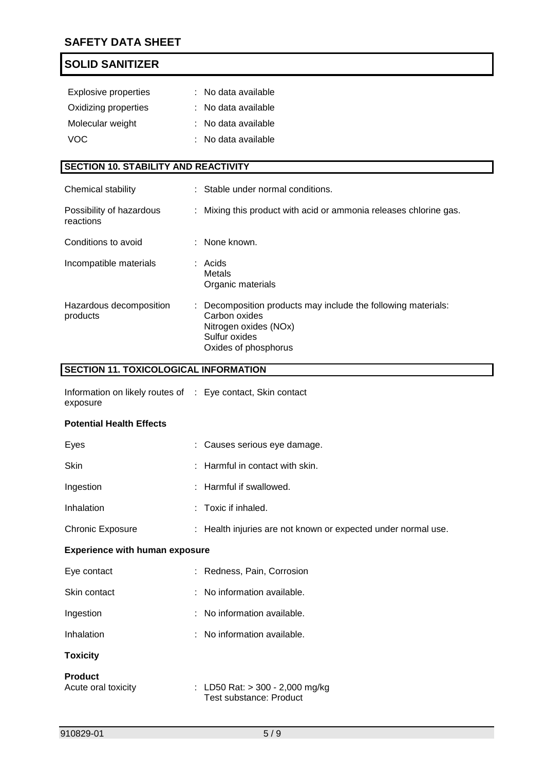| <b>Explosive properties</b>                 |    | : No data available                                                                                                                            |
|---------------------------------------------|----|------------------------------------------------------------------------------------------------------------------------------------------------|
| Oxidizing properties                        |    | : No data available                                                                                                                            |
| Molecular weight                            |    | : No data available                                                                                                                            |
| <b>VOC</b>                                  |    | No data available                                                                                                                              |
|                                             |    |                                                                                                                                                |
| <b>SECTION 10. STABILITY AND REACTIVITY</b> |    |                                                                                                                                                |
| Chemical stability                          |    | : Stable under normal conditions.                                                                                                              |
| Possibility of hazardous<br>reactions       | ÷. | Mixing this product with acid or ammonia releases chlorine gas.                                                                                |
| Conditions to avoid                         |    | : None known.                                                                                                                                  |
| Incompatible materials                      |    | $:$ Acids<br><b>Metals</b><br>Organic materials                                                                                                |
| Hazardous decomposition<br>products         |    | Decomposition products may include the following materials:<br>Carbon oxides<br>Nitrogen oxides (NOx)<br>Sulfur oxides<br>Oxides of phosphorus |

# **SECTION 11. TOXICOLOGICAL INFORMATION**

| Information on likely routes of : Eye contact, Skin contact |  |
|-------------------------------------------------------------|--|
| exposure                                                    |  |

#### **Potential Health Effects**

| Eyes                    | : Causes serious eye damage.                                  |
|-------------------------|---------------------------------------------------------------|
| Skin                    | $:$ Harmful in contact with skin.                             |
| Ingestion               | : Harmful if swallowed.                                       |
| Inhalation              | $\therefore$ Toxic if inhaled.                                |
| <b>Chronic Exposure</b> | : Health injuries are not known or expected under normal use. |
|                         |                                                               |

## **Experience with human exposure**

| Eye contact  | : Redness, Pain, Corrosion    |
|--------------|-------------------------------|
| Skin contact | $:$ No information available. |
| Ingestion    | $:$ No information available. |
| Inhalation   | $:$ No information available. |
|              |                               |

## **Toxicity**

| Product             |                                                              |
|---------------------|--------------------------------------------------------------|
| Acute oral toxicity | : LD50 Rat: $>$ 300 - 2,000 mg/kg<br>Test substance: Product |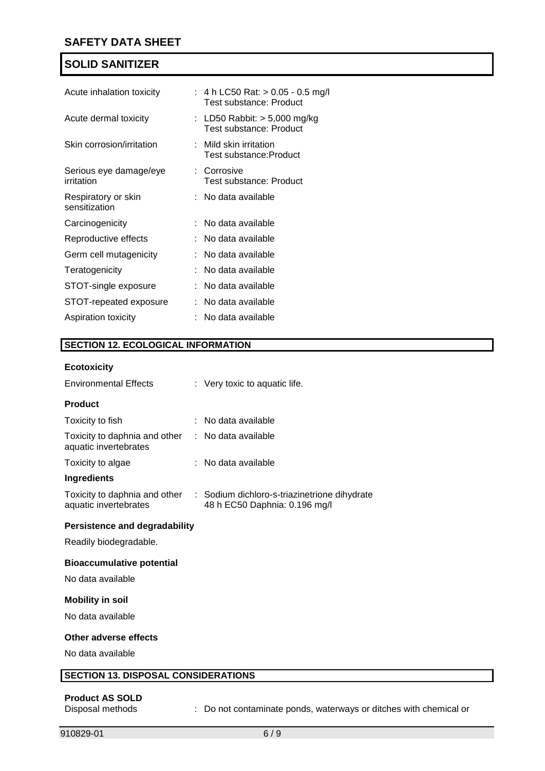| Acute inhalation toxicity            | : 4 h LC50 Rat: $> 0.05 - 0.5$ mg/l<br>Test substance: Product |
|--------------------------------------|----------------------------------------------------------------|
| Acute dermal toxicity                | : LD50 Rabbit: $>$ 5,000 mg/kg<br>Test substance: Product      |
| Skin corrosion/irritation            | $\therefore$ Mild skin irritation<br>Test substance:Product    |
| Serious eye damage/eye<br>irritation | : Corrosive<br>Test substance: Product                         |
| Respiratory or skin<br>sensitization | : No data available                                            |
| Carcinogenicity                      | : No data available                                            |
| Reproductive effects                 | : No data available                                            |
| Germ cell mutagenicity               | :   No data available                                          |
| Teratogenicity                       | :   No data available                                          |
| STOT-single exposure                 | : No data available                                            |
| STOT-repeated exposure               | $:$ No data available                                          |
| Aspiration toxicity                  | No data available                                              |

#### **SECTION 12. ECOLOGICAL INFORMATION**

#### **Ecotoxicity**

| <b>Environmental Effects</b>                           | : Very toxic to aquatic life.                                                 |
|--------------------------------------------------------|-------------------------------------------------------------------------------|
| <b>Product</b>                                         |                                                                               |
| Toxicity to fish                                       | : No data available                                                           |
| Toxicity to daphnia and other<br>aquatic invertebrates | $:$ No data available                                                         |
| Toxicity to algae                                      | : No data available                                                           |
| Ingredients                                            |                                                                               |
| Toxicity to daphnia and other<br>aquatic invertebrates | : Sodium dichloro-s-triazinetrione dihydrate<br>48 h EC50 Daphnia: 0.196 mg/l |

## **Persistence and degradability**

Readily biodegradable.

#### **Bioaccumulative potential**

No data available

### **Mobility in soil**

No data available

#### **Other adverse effects**

No data available

#### **SECTION 13. DISPOSAL CONSIDERATIONS**

# **Product AS SOLD**

: Do not contaminate ponds, waterways or ditches with chemical or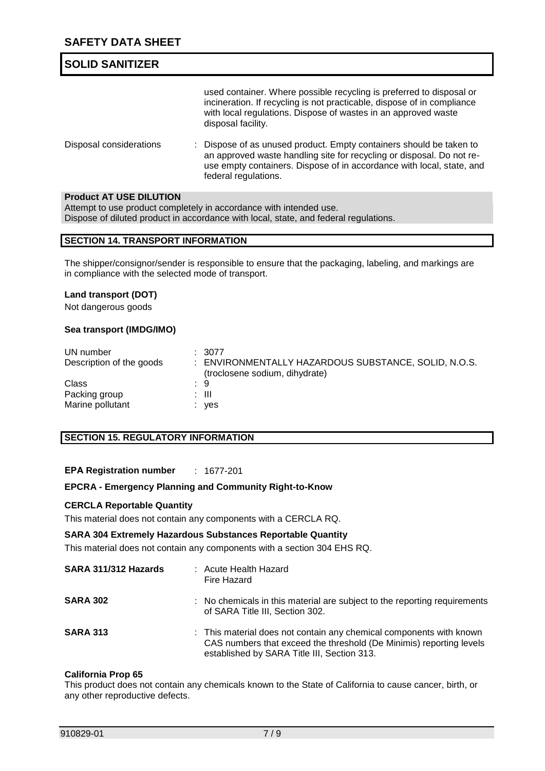# **SOLID SANITIZER** used container. Where possible recycling is preferred to disposal or incineration. If recycling is not practicable, dispose of in compliance with local regulations. Dispose of wastes in an approved waste disposal facility. Disposal considerations : Dispose of as unused product. Empty containers should be taken to

an approved waste handling site for recycling or disposal. Do not reuse empty containers. Dispose of in accordance with local, state, and federal regulations.

## **Product AT USE DILUTION**

Attempt to use product completely in accordance with intended use. Dispose of diluted product in accordance with local, state, and federal regulations.

#### **SECTION 14. TRANSPORT INFORMATION**

The shipper/consignor/sender is responsible to ensure that the packaging, labeling, and markings are in compliance with the selected mode of transport.

#### **Land transport (DOT)**

Not dangerous goods

#### **Sea transport (IMDG/IMO)**

| UN number                | : 3077                                               |
|--------------------------|------------------------------------------------------|
| Description of the goods | : ENVIRONMENTALLY HAZARDOUS SUBSTANCE, SOLID, N.O.S. |
|                          | (troclosene sodium, dihydrate)                       |
| Class                    | . 9                                                  |
| Packing group            | : III                                                |
| Marine pollutant         | yes                                                  |

## **SECTION 15. REGULATORY INFORMATION**

**EPA Registration number** : 1677-201

#### **EPCRA - Emergency Planning and Community Right-to-Know**

#### **CERCLA Reportable Quantity**

This material does not contain any components with a CERCLA RQ.

#### **SARA 304 Extremely Hazardous Substances Reportable Quantity**

This material does not contain any components with a section 304 EHS RQ.

| SARA 311/312 Hazards | : Acute Health Hazard<br>Fire Hazard                                                                                                                                                      |
|----------------------|-------------------------------------------------------------------------------------------------------------------------------------------------------------------------------------------|
| <b>SARA 302</b>      | : No chemicals in this material are subject to the reporting requirements<br>of SARA Title III, Section 302.                                                                              |
| <b>SARA 313</b>      | : This material does not contain any chemical components with known<br>CAS numbers that exceed the threshold (De Minimis) reporting levels<br>established by SARA Title III, Section 313. |

#### **California Prop 65**

This product does not contain any chemicals known to the State of California to cause cancer, birth, or any other reproductive defects.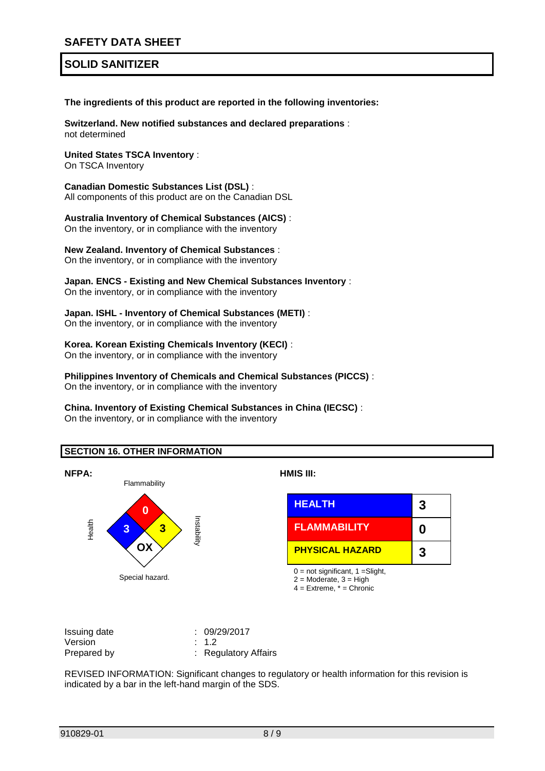**The ingredients of this product are reported in the following inventories:**

**Switzerland. New notified substances and declared preparations** : not determined

**United States TSCA Inventory** :

On TSCA Inventory

**Canadian Domestic Substances List (DSL)** : All components of this product are on the Canadian DSL

**Australia Inventory of Chemical Substances (AICS)** : On the inventory, or in compliance with the inventory

**New Zealand. Inventory of Chemical Substances** : On the inventory, or in compliance with the inventory

# **Japan. ENCS - Existing and New Chemical Substances Inventory** :

On the inventory, or in compliance with the inventory

# **Japan. ISHL - Inventory of Chemical Substances (METI)** :

On the inventory, or in compliance with the inventory

#### **Korea. Korean Existing Chemicals Inventory (KECI)** :

On the inventory, or in compliance with the inventory

**Philippines Inventory of Chemicals and Chemical Substances (PICCS)** : On the inventory, or in compliance with the inventory

#### **China. Inventory of Existing Chemical Substances in China (IECSC)** : On the inventory, or in compliance with the inventory

#### **SECTION 16. OTHER INFORMATION**



| Issuing date | : 09/29/2017         |
|--------------|----------------------|
| Version      | $\therefore$ 1.2     |
| Prepared by  | : Regulatory Affairs |

REVISED INFORMATION: Significant changes to regulatory or health information for this revision is indicated by a bar in the left-hand margin of the SDS.